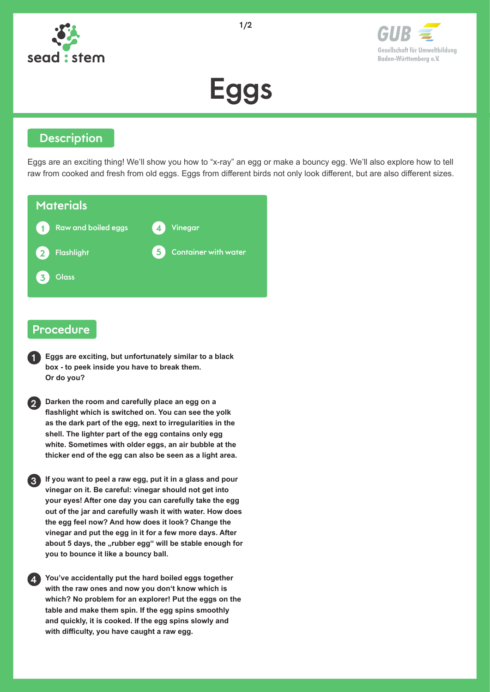

Gesellschaft für Umweltbildung Baden-Württemberg e.V.

# Eggs

#### **Description**

Eggs are an exciting thing! We'll show you how to "x-ray" an egg or make a bouncy egg. We'll also explore how to tell raw from cooked and fresh from old eggs. Eggs from different birds not only look different, but are also different sizes.

| <b>Materials</b>                                      |                                  |
|-------------------------------------------------------|----------------------------------|
| <b>Raw and boiled eggs</b><br>$\overline{\mathbf{1}}$ | Vinegar                          |
| Flashlight<br>$\overline{2}$                          | <b>Container with water</b><br>5 |
| <b>Glass</b><br>$\overline{\mathbf{z}}$               |                                  |

#### Procedure

**1 Eggs are exciting, but unfortunately similar to a black box - to peek inside you have to break them. Or do you?**

**2 Darken the room and carefully place an egg on a flashlight which is switched on. You can see the yolk as the dark part of the egg, next to irregularities in the shell. The lighter part of the egg contains only egg white. Sometimes with older eggs, an air bubble at the thicker end of the egg can also be seen as a light area.** 

**3 If you want to peel a raw egg, put it in a glass and pour vinegar on it. Be careful: vinegar should not get into your eyes! After one day you can carefully take the egg out of the jar and carefully wash it with water. How does the egg feel now? And how does it look? Change the vinegar and put the egg in it for a few more days. After**  about 5 days, the "rubber egg" will be stable enough for **you to bounce it like a bouncy ball.**

**4 You've accidentally put the hard boiled eggs together with the raw ones and now you don't know which is which? No problem for an explorer! Put the eggs on the table and make them spin. If the egg spins smoothly and quickly, it is cooked. If the egg spins slowly and with difficulty, you have caught a raw egg.**